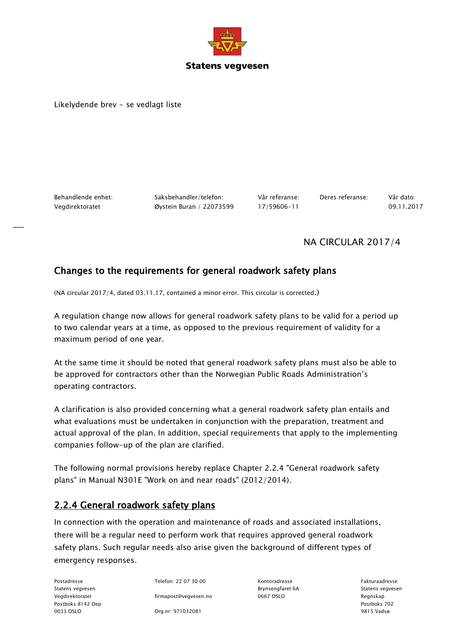

Likelydende brev - se vedlagt liste

Behandlende enhet: Saksbehandler/telefon: Vår referanse: Deres referanse: Vår dato: Vegdirektoratet Øystein Buran / 22073599 17/59606-11 09.11.2017

# NA CIRCULAR 2017/4

### Changes to the requirements for general roadwork safety plans

(NA circular 2017/4, dated 03.11.17, contained a minor error. This circular is corrected.)

A regulation change now allows for general roadwork safety plans to be valid for a period up to two calendar years at a time, as opposed to the previous requirement of validity for a maximum period of one year.

At the same time it should be noted that general roadwork safety plans must also be able to be approved for contractors other than the Norwegian Public Roads Administration's operating contractors.

A clarification is also provided concerning what a general roadwork safety plan entails and what evaluations must be undertaken in conjunction with the preparation, treatment and actual approval of the plan. In addition, special requirements that apply to the implementing companies follow-up of the plan are clarified.

The following normal provisions hereby replace Chapter 2.2.4 "General roadwork safety plans" in Manual N301E "Work on and near roads" (2012/2014).

## 2.2.4 General roadwork safety plans

In connection with the operation and maintenance of roads and associated installations, there will be a regular need to perform work that requires approved general roadwork safety plans. Such regular needs also arise given the background of different types of emergency responses.

Statens vegvesen Brynsengfaret 6A Statens vegvesen Vegdirektoratet firmapost@vegvesen.no 0667 OSLO Regnskap Postboks 8142 Dep Postboks 702 0033 OSLO Org.nr: 971032081 9815 Vadsø

Postadresse Telefon: 22 07 30 00 Kontoradresse Fakturaadresse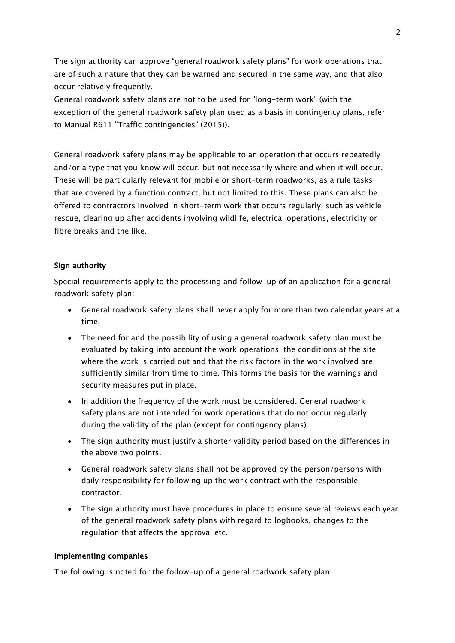The sign authority can approve "general roadwork safety plans" for work operations that are of such a nature that they can be warned and secured in the same way, and that also occur relatively frequently.

General roadwork safety plans are not to be used for "long-term work" (with the exception of the general roadwork safety plan used as a basis in contingency plans, refer to Manual R611 "Traffic contingencies" (2015)).

General roadwork safety plans may be applicable to an operation that occurs repeatedly and/or a type that you know will occur, but not necessarily where and when it will occur. These will be particularly relevant for mobile or short-term roadworks, as a rule tasks that are covered by a function contract, but not limited to this. These plans can also be offered to contractors involved in short-term work that occurs regularly, such as vehicle rescue, clearing up after accidents involving wildlife, electrical operations, electricity or fibre breaks and the like.

#### Sign authority

Special requirements apply to the processing and follow-up of an application for a general roadwork safety plan:

- General roadwork safety plans shall never apply for more than two calendar years at a time.
- The need for and the possibility of using a general roadwork safety plan must be evaluated by taking into account the work operations, the conditions at the site where the work is carried out and that the risk factors in the work involved are sufficiently similar from time to time. This forms the basis for the warnings and security measures put in place.
- In addition the frequency of the work must be considered. General roadwork safety plans are not intended for work operations that do not occur regularly during the validity of the plan (except for contingency plans).
- The sign authority must justify a shorter validity period based on the differences in the above two points.
- General roadwork safety plans shall not be approved by the person/persons with daily responsibility for following up the work contract with the responsible contractor.
- The sign authority must have procedures in place to ensure several reviews each year of the general roadwork safety plans with regard to logbooks, changes to the regulation that affects the approval etc.

#### Implementing companies

The following is noted for the follow-up of a general roadwork safety plan: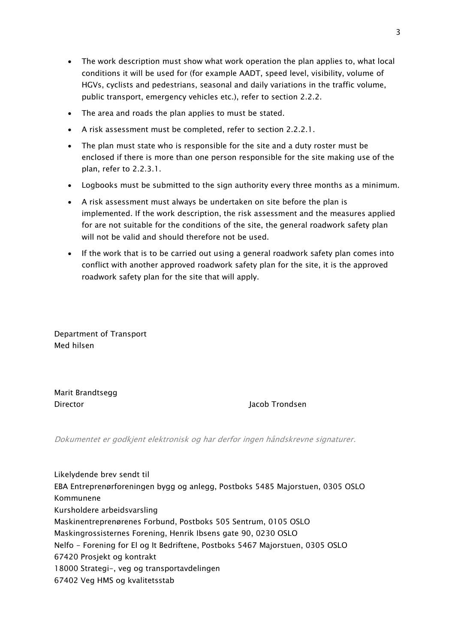- The work description must show what work operation the plan applies to, what local conditions it will be used for (for example AADT, speed level, visibility, volume of HGVs, cyclists and pedestrians, seasonal and daily variations in the traffic volume, public transport, emergency vehicles etc.), refer to section 2.2.2.
- The area and roads the plan applies to must be stated.
- A risk assessment must be completed, refer to section 2.2.2.1.
- The plan must state who is responsible for the site and a duty roster must be enclosed if there is more than one person responsible for the site making use of the plan, refer to 2.2.3.1.
- Logbooks must be submitted to the sign authority every three months as a minimum.
- A risk assessment must always be undertaken on site before the plan is implemented. If the work description, the risk assessment and the measures applied for are not suitable for the conditions of the site, the general roadwork safety plan will not be valid and should therefore not be used.
- If the work that is to be carried out using a general roadwork safety plan comes into conflict with another approved roadwork safety plan for the site, it is the approved roadwork safety plan for the site that will apply.

Department of Transport Med hilsen

Marit Brandtsegg Director **Director** Jacob Trondsen

Dokumentet er godkjent elektronisk og har derfor ingen håndskrevne signaturer.

Likelydende brev sendt til EBA Entreprenørforeningen bygg og anlegg, Postboks 5485 Majorstuen, 0305 OSLO Kommunene Kursholdere arbeidsvarsling Maskinentreprenørenes Forbund, Postboks 505 Sentrum, 0105 OSLO Maskingrossisternes Forening, Henrik Ibsens gate 90, 0230 OSLO Nelfo - Forening for El og It Bedriftene, Postboks 5467 Majorstuen, 0305 OSLO 67420 Prosjekt og kontrakt 18000 Strategi-, veg og transportavdelingen 67402 Veg HMS og kvalitetsstab